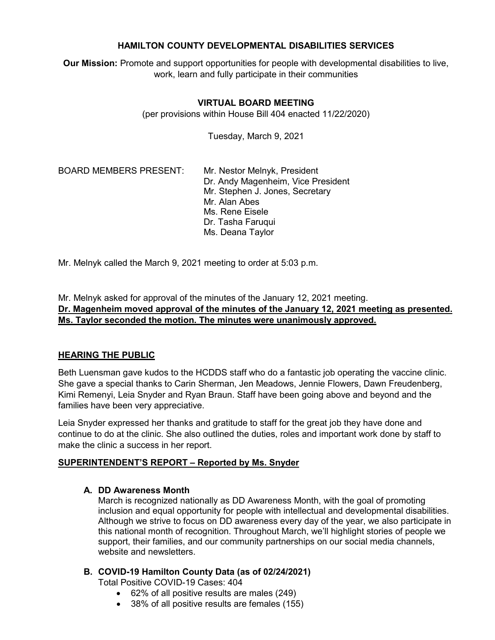## **HAMILTON COUNTY DEVELOPMENTAL DISABILITIES SERVICES**

**Our Mission:** Promote and support opportunities for people with developmental disabilities to live, work, learn and fully participate in their communities

## **VIRTUAL BOARD MEETING**

(per provisions within House Bill 404 enacted 11/22/2020)

Tuesday, March 9, 2021

BOARD MEMBERS PRESENT: Mr. Nestor Melnyk, President

Dr. Andy Magenheim, Vice President Mr. Stephen J. Jones, Secretary Mr. Alan Abes Ms. Rene Eisele Dr. Tasha Faruqui Ms. Deana Taylor

Mr. Melnyk called the March 9, 2021 meeting to order at 5:03 p.m.

Mr. Melnyk asked for approval of the minutes of the January 12, 2021 meeting. **Dr. Magenheim moved approval of the minutes of the January 12, 2021 meeting as presented. Ms. Taylor seconded the motion. The minutes were unanimously approved.**

# **HEARING THE PUBLIC**

Beth Luensman gave kudos to the HCDDS staff who do a fantastic job operating the vaccine clinic. She gave a special thanks to Carin Sherman, Jen Meadows, Jennie Flowers, Dawn Freudenberg, Kimi Remenyi, Leia Snyder and Ryan Braun. Staff have been going above and beyond and the families have been very appreciative.

Leia Snyder expressed her thanks and gratitude to staff for the great job they have done and continue to do at the clinic. She also outlined the duties, roles and important work done by staff to make the clinic a success in her report.

## **SUPERINTENDENT'S REPORT – Reported by Ms. Snyder**

## **A. DD Awareness Month**

March is recognized nationally as DD Awareness Month, with the goal of promoting inclusion and equal opportunity for people with intellectual and developmental disabilities. Although we strive to focus on DD awareness every day of the year, we also participate in this national month of recognition. Throughout March, we'll highlight stories of people we support, their families, and our community partnerships on our social media channels, website and newsletters.

## **B. COVID-19 Hamilton County Data (as of 02/24/2021)**

Total Positive COVID-19 Cases: 404

- 62% of all positive results are males (249)
- 38% of all positive results are females (155)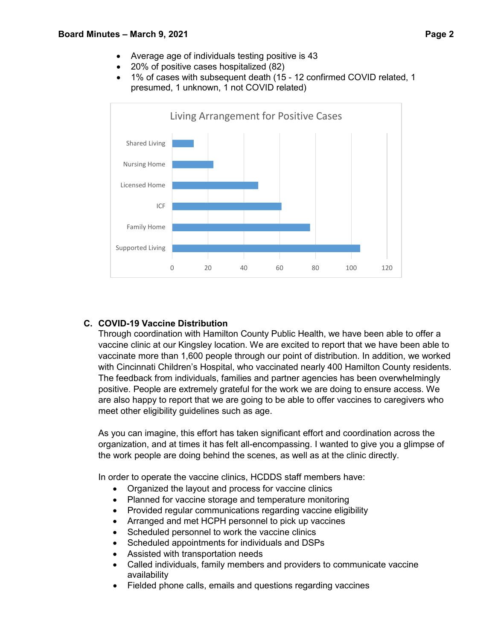- Average age of individuals testing positive is 43
- 20% of positive cases hospitalized (82)
- 1% of cases with subsequent death (15 12 confirmed COVID related, 1 presumed, 1 unknown, 1 not COVID related)



## **C. COVID-19 Vaccine Distribution**

Through coordination with Hamilton County Public Health, we have been able to offer a vaccine clinic at our Kingsley location. We are excited to report that we have been able to vaccinate more than 1,600 people through our point of distribution. In addition, we worked with Cincinnati Children's Hospital, who vaccinated nearly 400 Hamilton County residents. The feedback from individuals, families and partner agencies has been overwhelmingly positive. People are extremely grateful for the work we are doing to ensure access. We are also happy to report that we are going to be able to offer vaccines to caregivers who meet other eligibility guidelines such as age.

As you can imagine, this effort has taken significant effort and coordination across the organization, and at times it has felt all-encompassing. I wanted to give you a glimpse of the work people are doing behind the scenes, as well as at the clinic directly.

In order to operate the vaccine clinics, HCDDS staff members have:

- Organized the layout and process for vaccine clinics
- Planned for vaccine storage and temperature monitoring
- Provided regular communications regarding vaccine eligibility
- Arranged and met HCPH personnel to pick up vaccines
- Scheduled personnel to work the vaccine clinics
- Scheduled appointments for individuals and DSPs
- Assisted with transportation needs
- Called individuals, family members and providers to communicate vaccine availability
- Fielded phone calls, emails and questions regarding vaccines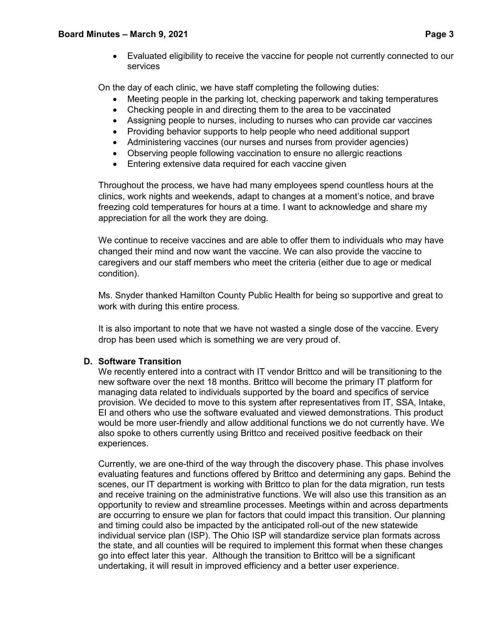• Evaluated eligibility to receive the vaccine for people not currently connected to our services

On the day of each clinic, we have staff completing the following duties:

- Meeting people in the parking lot, checking paperwork and taking temperatures
- Checking people in and directing them to the area to be vaccinated
- Assigning people to nurses, including to nurses who can provide car vaccines
- Providing behavior supports to help people who need additional support
- Administering vaccines (our nurses and nurses from provider agencies)
- Observing people following vaccination to ensure no allergic reactions
- Entering extensive data required for each vaccine given

Throughout the process, we have had many employees spend countless hours at the clinics, work nights and weekends, adapt to changes at a moment's notice, and brave freezing cold temperatures for hours at a time. I want to acknowledge and share my appreciation for all the work they are doing.

We continue to receive vaccines and are able to offer them to individuals who may have changed their mind and now want the vaccine. We can also provide the vaccine to caregivers and our staff members who meet the criteria (either due to age or medical condition).

Ms. Snyder thanked Hamilton County Public Health for being so supportive and great to work with during this entire process.

It is also important to note that we have not wasted a single dose of the vaccine. Every drop has been used which is something we are very proud of.

# **D. Software Transition**

We recently entered into a contract with IT vendor Brittco and will be transitioning to the new software over the next 18 months. Brittco will become the primary IT platform for managing data related to individuals supported by the board and specifics of service provision. We decided to move to this system after representatives from IT, SSA, Intake, EI and others who use the software evaluated and viewed demonstrations. This product would be more user-friendly and allow additional functions we do not currently have. We also spoke to others currently using Brittco and received positive feedback on their experiences.

Currently, we are one-third of the way through the discovery phase. This phase involves evaluating features and functions offered by Brittco and determining any gaps. Behind the scenes, our IT department is working with Brittco to plan for the data migration, run tests and receive training on the administrative functions. We will also use this transition as an opportunity to review and streamline processes. Meetings within and across departments are occurring to ensure we plan for factors that could impact this transition. Our planning and timing could also be impacted by the anticipated roll-out of the new statewide individual service plan (ISP). The Ohio ISP will standardize service plan formats across the state, and all counties will be required to implement this format when these changes go into effect later this year. Although the transition to Brittco will be a significant undertaking, it will result in improved efficiency and a better user experience.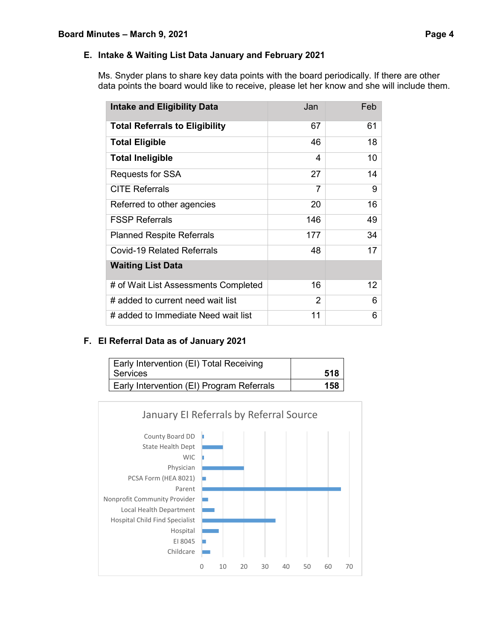Ms. Snyder plans to share key data points with the board periodically. If there are other data points the board would like to receive, please let her know and she will include them.

| <b>Intake and Eligibility Data</b>    | Jan            | Feb |
|---------------------------------------|----------------|-----|
| <b>Total Referrals to Eligibility</b> | 67             | 61  |
| <b>Total Eligible</b>                 | 46             | 18  |
| <b>Total Ineligible</b>               | 4              | 10  |
| Requests for SSA                      | 27             | 14  |
| <b>CITE Referrals</b>                 | 7              | 9   |
| Referred to other agencies            | 20             | 16  |
| <b>FSSP Referrals</b>                 | 146            | 49  |
| <b>Planned Respite Referrals</b>      | 177            | 34  |
| <b>Covid-19 Related Referrals</b>     | 48             | 17  |
| <b>Waiting List Data</b>              |                |     |
| # of Wait List Assessments Completed  | 16             | 12. |
| # added to current need wait list     | $\overline{2}$ | 6   |
| # added to Immediate Need wait list   | 11             | 6   |

# **F. EI Referral Data as of January 2021**

| Early Intervention (EI) Total Receiving   |     |
|-------------------------------------------|-----|
| Services                                  | 518 |
| Early Intervention (EI) Program Referrals | 158 |

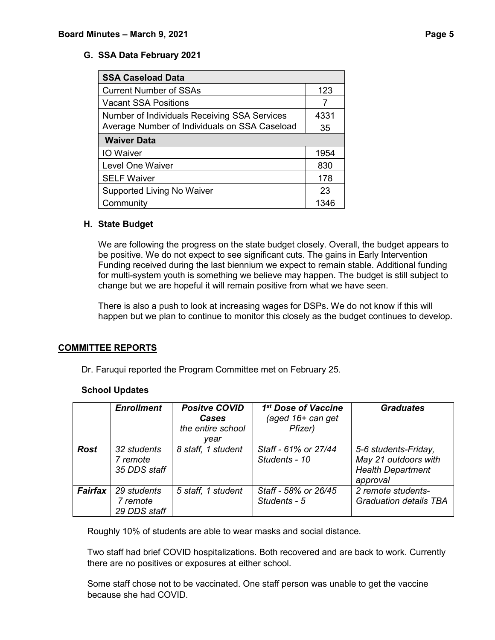## **G. SSA Data February 2021**

| <b>SSA Caseload Data</b>                      |      |
|-----------------------------------------------|------|
| <b>Current Number of SSAs</b>                 | 123  |
| <b>Vacant SSA Positions</b>                   |      |
| Number of Individuals Receiving SSA Services  | 4331 |
| Average Number of Individuals on SSA Caseload | 35   |
| <b>Waiver Data</b>                            |      |
| <b>IO</b> Waiver                              | 1954 |
| <b>Level One Waiver</b>                       | 830  |
| <b>SELF Waiver</b>                            | 178  |
| Supported Living No Waiver                    | 23   |
| Community                                     | 1346 |

#### **H. State Budget**

We are following the progress on the state budget closely. Overall, the budget appears to be positive. We do not expect to see significant cuts. The gains in Early Intervention Funding received during the last biennium we expect to remain stable. Additional funding for multi-system youth is something we believe may happen. The budget is still subject to change but we are hopeful it will remain positive from what we have seen.

There is also a push to look at increasing wages for DSPs. We do not know if this will happen but we plan to continue to monitor this closely as the budget continues to develop.

#### **COMMITTEE REPORTS**

Dr. Faruqui reported the Program Committee met on February 25.

#### **School Updates**

|             | <b>Enrollment</b>                       | <b>Positve COVID</b><br><b>Cases</b><br>the entire school<br>vear | 1 <sup>st</sup> Dose of Vaccine<br>(aged $16+$ can get<br>Pfizer) | <b>Graduates</b>                                                                     |
|-------------|-----------------------------------------|-------------------------------------------------------------------|-------------------------------------------------------------------|--------------------------------------------------------------------------------------|
| <b>Rost</b> | 32 students<br>7 remote<br>35 DDS staff | 8 staff, 1 student                                                | Staff - 61% or 27/44<br>Students - 10                             | 5-6 students-Friday,<br>May 21 outdoors with<br><b>Health Department</b><br>approval |
| Fairfax     | 29 students<br>7 remote<br>29 DDS staff | 5 staff, 1 student                                                | Staff - 58% or 26/45<br>Students - 5                              | 2 remote students-<br><b>Graduation details TBA</b>                                  |

Roughly 10% of students are able to wear masks and social distance.

Two staff had brief COVID hospitalizations. Both recovered and are back to work. Currently there are no positives or exposures at either school.

Some staff chose not to be vaccinated. One staff person was unable to get the vaccine because she had COVID.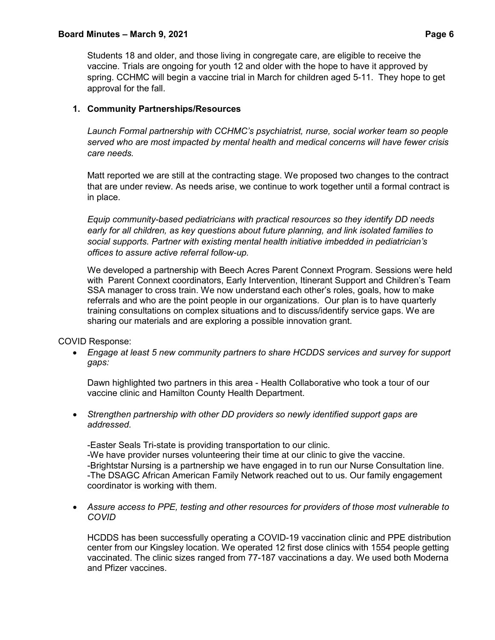#### **Board Minutes – March 9, 2021 Page 6**

Students 18 and older, and those living in congregate care, are eligible to receive the vaccine. Trials are ongoing for youth 12 and older with the hope to have it approved by spring. CCHMC will begin a vaccine trial in March for children aged 5-11. They hope to get approval for the fall.

## **1. Community Partnerships/Resources**

*Launch Formal partnership with CCHMC's psychiatrist, nurse, social worker team so people served who are most impacted by mental health and medical concerns will have fewer crisis care needs.* 

Matt reported we are still at the contracting stage. We proposed two changes to the contract that are under review. As needs arise, we continue to work together until a formal contract is in place.

*Equip community-based pediatricians with practical resources so they identify DD needs early for all children, as key questions about future planning, and link isolated families to social supports. Partner with existing mental health initiative imbedded in pediatrician's offices to assure active referral follow-up.* 

We developed a partnership with Beech Acres Parent Connext Program. Sessions were held with Parent Connext coordinators, Early Intervention, Itinerant Support and Children's Team SSA manager to cross train. We now understand each other's roles, goals, how to make referrals and who are the point people in our organizations. Our plan is to have quarterly training consultations on complex situations and to discuss/identify service gaps. We are sharing our materials and are exploring a possible innovation grant.

COVID Response:

• *Engage at least 5 new community partners to share HCDDS services and survey for support gaps:*

Dawn highlighted two partners in this area - Health Collaborative who took a tour of our vaccine clinic and Hamilton County Health Department.

• *Strengthen partnership with other DD providers so newly identified support gaps are addressed.*

-Easter Seals Tri-state is providing transportation to our clinic.

-We have provider nurses volunteering their time at our clinic to give the vaccine. -Brightstar Nursing is a partnership we have engaged in to run our Nurse Consultation line. -The DSAGC African American Family Network reached out to us. Our family engagement coordinator is working with them.

• *Assure access to PPE, testing and other resources for providers of those most vulnerable to COVID*

HCDDS has been successfully operating a COVID-19 vaccination clinic and PPE distribution center from our Kingsley location. We operated 12 first dose clinics with 1554 people getting vaccinated. The clinic sizes ranged from 77-187 vaccinations a day. We used both Moderna and Pfizer vaccines.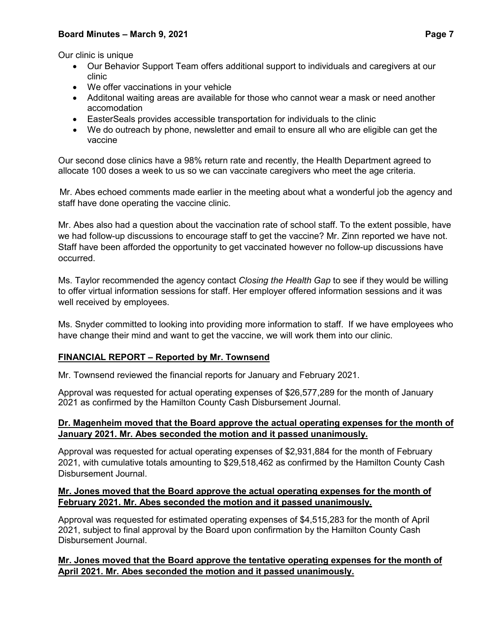## **Board Minutes – March 9, 2021 Page 7**

Our clinic is unique

- Our Behavior Support Team offers additional support to individuals and caregivers at our clinic
- We offer vaccinations in your vehicle
- Additonal waiting areas are available for those who cannot wear a mask or need another accomodation
- EasterSeals provides accessible transportation for individuals to the clinic
- We do outreach by phone, newsletter and email to ensure all who are eligible can get the vaccine

Our second dose clinics have a 98% return rate and recently, the Health Department agreed to allocate 100 doses a week to us so we can vaccinate caregivers who meet the age criteria.

 Mr. Abes echoed comments made earlier in the meeting about what a wonderful job the agency and staff have done operating the vaccine clinic.

Mr. Abes also had a question about the vaccination rate of school staff. To the extent possible, have we had follow-up discussions to encourage staff to get the vaccine? Mr. Zinn reported we have not. Staff have been afforded the opportunity to get vaccinated however no follow-up discussions have occurred.

Ms. Taylor recommended the agency contact *Closing the Health Gap* to see if they would be willing to offer virtual information sessions for staff. Her employer offered information sessions and it was well received by employees.

Ms. Snyder committed to looking into providing more information to staff. If we have employees who have change their mind and want to get the vaccine, we will work them into our clinic.

## **FINANCIAL REPORT – Reported by Mr. Townsend**

Mr. Townsend reviewed the financial reports for January and February 2021.

Approval was requested for actual operating expenses of \$26,577,289 for the month of January 2021 as confirmed by the Hamilton County Cash Disbursement Journal.

## **Dr. Magenheim moved that the Board approve the actual operating expenses for the month of January 2021. Mr. Abes seconded the motion and it passed unanimously.**

Approval was requested for actual operating expenses of \$2,931,884 for the month of February 2021, with cumulative totals amounting to \$29,518,462 as confirmed by the Hamilton County Cash Disbursement Journal.

## **Mr. Jones moved that the Board approve the actual operating expenses for the month of February 2021. Mr. Abes seconded the motion and it passed unanimously.**

Approval was requested for estimated operating expenses of \$4,515,283 for the month of April 2021, subject to final approval by the Board upon confirmation by the Hamilton County Cash Disbursement Journal.

## **Mr. Jones moved that the Board approve the tentative operating expenses for the month of April 2021. Mr. Abes seconded the motion and it passed unanimously.**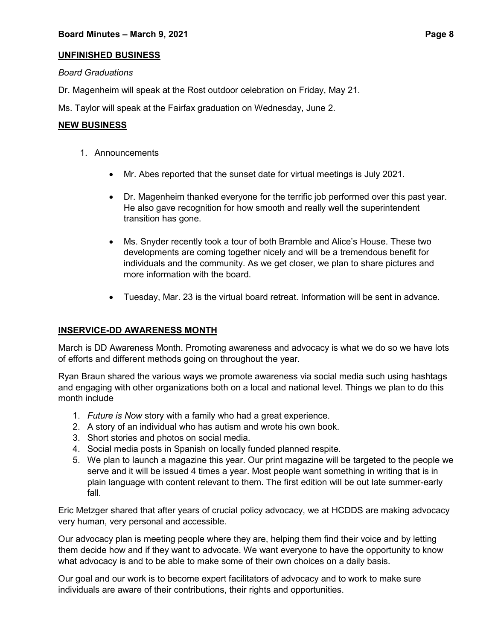## **UNFINISHED BUSINESS**

## *Board Graduations*

Dr. Magenheim will speak at the Rost outdoor celebration on Friday, May 21.

Ms. Taylor will speak at the Fairfax graduation on Wednesday, June 2.

### **NEW BUSINESS**

- 1. Announcements
	- Mr. Abes reported that the sunset date for virtual meetings is July 2021.
	- Dr. Magenheim thanked everyone for the terrific job performed over this past year. He also gave recognition for how smooth and really well the superintendent transition has gone.
	- Ms. Snyder recently took a tour of both Bramble and Alice's House. These two developments are coming together nicely and will be a tremendous benefit for individuals and the community. As we get closer, we plan to share pictures and more information with the board.
	- Tuesday, Mar. 23 is the virtual board retreat. Information will be sent in advance.

## **INSERVICE-DD AWARENESS MONTH**

March is DD Awareness Month. Promoting awareness and advocacy is what we do so we have lots of efforts and different methods going on throughout the year.

Ryan Braun shared the various ways we promote awareness via social media such using hashtags and engaging with other organizations both on a local and national level. Things we plan to do this month include

- 1. *Future is Now* story with a family who had a great experience.
- 2. A story of an individual who has autism and wrote his own book.
- 3. Short stories and photos on social media.
- 4. Social media posts in Spanish on locally funded planned respite.
- 5. We plan to launch a magazine this year. Our print magazine will be targeted to the people we serve and it will be issued 4 times a year. Most people want something in writing that is in plain language with content relevant to them. The first edition will be out late summer-early fall.

Eric Metzger shared that after years of crucial policy advocacy, we at HCDDS are making advocacy very human, very personal and accessible.

Our advocacy plan is meeting people where they are, helping them find their voice and by letting them decide how and if they want to advocate. We want everyone to have the opportunity to know what advocacy is and to be able to make some of their own choices on a daily basis.

Our goal and our work is to become expert facilitators of advocacy and to work to make sure individuals are aware of their contributions, their rights and opportunities.